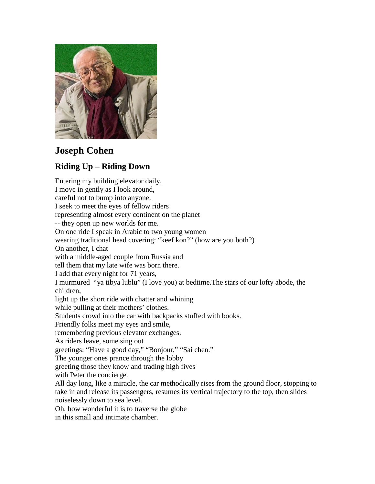

## **Joseph Cohen**

## **Riding Up – Riding Down**

Entering my building elevator daily, I move in gently as I look around, careful not to bump into anyone. I seek to meet the eyes of fellow riders representing almost every continent on the planet -- they open up new worlds for me. On one ride I speak in Arabic to two young women wearing traditional head covering: "keef kon?" (how are you both?) On another, I chat with a middle-aged couple from Russia and tell them that my late wife was born there. I add that every night for 71 years, I murmured "ya tibya lublu" (I love you) at bedtime.The stars of our lofty abode, the children, light up the short ride with chatter and whining while pulling at their mothers' clothes. Students crowd into the car with backpacks stuffed with books. Friendly folks meet my eyes and smile, remembering previous elevator exchanges. As riders leave, some sing out greetings: "Have a good day," "Bonjour," "Sai chen." The younger ones prance through the lobby greeting those they know and trading high fives with Peter the concierge. All day long, like a miracle, the car methodically rises from the ground floor, stopping to take in and release its passengers, resumes its vertical trajectory to the top, then slides noiselessly down to sea level. Oh, how wonderful it is to traverse the globe in this small and intimate chamber.